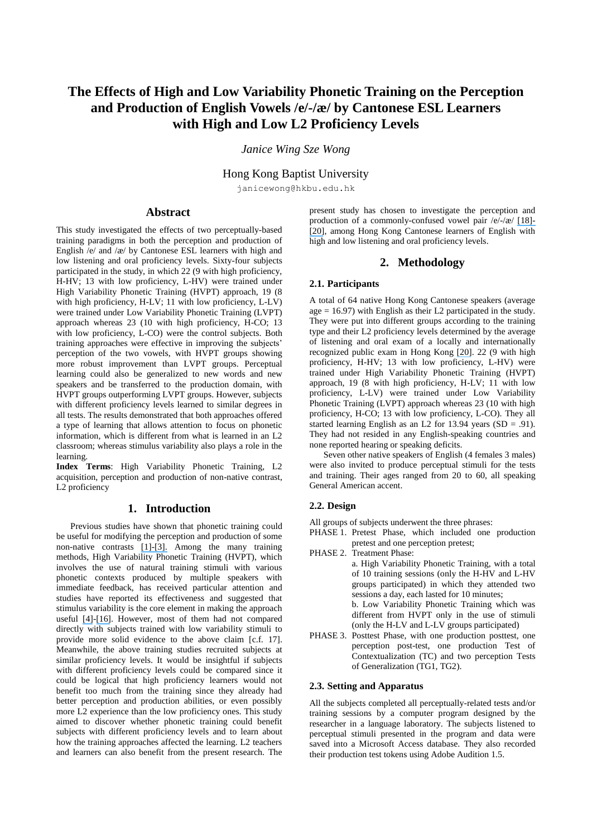# **The Effects of High and Low Variability Phonetic Training on the Perception and Production of English Vowels /e/-/æ / by Cantonese ESL Learners with High and Low L2 Proficiency Levels**

# *Janice Wing Sze Wong*

Hong Kong Baptist University

janicewong@hkbu.edu.hk

# **Abstract**

This study investigated the effects of two perceptually-based training paradigms in both the perception and production of English /e/ and  $/x$  / by Cantonese ESL learners with high and low listening and oral proficiency levels. Sixty-four subjects participated in the study, in which 22 (9 with high proficiency, H-HV; 13 with low proficiency, L-HV) were trained under High Variability Phonetic Training (HVPT) approach, 19 (8 with high proficiency, H-LV; 11 with low proficiency, L-LV) were trained under Low Variability Phonetic Training (LVPT) approach whereas 23 (10 with high proficiency, H-CO; 13 with low proficiency, L-CO) were the control subjects. Both training approaches were effective in improving the subjects' perception of the two vowels, with HVPT groups showing more robust improvement than LVPT groups. Perceptual learning could also be generalized to new words and new speakers and be transferred to the production domain, with HVPT groups outperforming LVPT groups. However, subjects with different proficiency levels learned to similar degrees in all tests. The results demonstrated that both approaches offered a type of learning that allows attention to focus on phonetic information, which is different from what is learned in an L2 classroom; whereas stimulus variability also plays a role in the learning.

**Index Terms**: High Variability Phonetic Training, L2 acquisition, perception and production of non-native contrast, L2 proficiency

# **1. Introduction**

Previous studies have shown that phonetic training could be useful for modifying the perception and production of some non-native contrasts [\[1\]-\[3\].](https://www.researchgate.net/publication/312614562_A_direct_realist_view_of_cross-language_speech_perception?el=1_x_8&enrichId=rgreq-6643f2317512872902c5310a7e9b6616-XXX&enrichSource=Y292ZXJQYWdlOzI4MTExMzIyNjtBUzoyNjQ3MDQ4MDMyMDkyMTZAMTQ0MDEyMTk1MTk0Mw==) Among the many training methods, High Variability Phonetic Training (HVPT), which involves the use of natural training stimuli with various phonetic contexts produced by multiple speakers with immediate feedback, has received particular attention and studies have reported its effectiveness and suggested that stimulus variability is the core element in making the approach useful [\[4\]](https://www.researchgate.net/publication/14113711_Training_Japanese_listeners_to_identify_English_r_and_l_IV_Some_effects_of_perceptual_learning_on_speech_production?el=1_x_8&enrichId=rgreq-6643f2317512872902c5310a7e9b6616-XXX&enrichSource=Y292ZXJQYWdlOzI4MTExMzIyNjtBUzoyNjQ3MDQ4MDMyMDkyMTZAMTQ0MDEyMTk1MTk0Mw==)-[\[16\]](https://www.researchgate.net/publication/7434343_Phonetic_Training_with_Acoustic_Cue_Manipulation_A_Comparison_of_Methods_for_Teaching_English_r-l_to_Japanese_Adults?el=1_x_8&enrichId=rgreq-6643f2317512872902c5310a7e9b6616-XXX&enrichSource=Y292ZXJQYWdlOzI4MTExMzIyNjtBUzoyNjQ3MDQ4MDMyMDkyMTZAMTQ0MDEyMTk1MTk0Mw==). However, most of them had not compared directly with subjects trained with low variability stimuli to provide more solid evidence to the above claim [c.f. 17]. Meanwhile, the above training studies recruited subjects at similar proficiency levels. It would be insightful if subjects with different proficiency levels could be compared since it could be logical that high proficiency learners would not benefit too much from the training since they already had better perception and production abilities, or even possibly more L2 experience than the low proficiency ones. This study aimed to discover whether phonetic training could benefit subjects with different proficiency levels and to learn about how the training approaches affected the learning. L2 teachers and learners can also benefit from the present research. The present study has chosen to investigate the perception and production of a commonly-confused vowel pair  $/e$ / $/e$ / [\[18\]-](https://www.researchgate.net/publication/234729858_English_and_Cantonese_Phonology_in_Contrast_Explaining_Cantonese_ESL_Learners) [\[20\]](https://www.researchgate.net/publication/228984145_A_Contrastive_Phonetic_Study_between_Cantonese_and_English_To_Predict_Salient_Mispronunciations_by_Cantonese_Learners_of_English?el=1_x_8&enrichId=rgreq-6643f2317512872902c5310a7e9b6616-XXX&enrichSource=Y292ZXJQYWdlOzI4MTExMzIyNjtBUzoyNjQ3MDQ4MDMyMDkyMTZAMTQ0MDEyMTk1MTk0Mw==), among Hong Kong Cantonese learners of English with high and low listening and oral proficiency levels.

# **2. Methodology**

#### **2.1. Participants**

A total of 64 native Hong Kong Cantonese speakers (average age  $= 16.97$ ) with English as their L2 participated in the study. They were put into different groups according to the training type and their L2 proficiency levels determined by the average of listening and oral exam of a locally and internationally recognized public exam in Hong Kong [\[20\]](https://www.researchgate.net/publication/228984145_A_Contrastive_Phonetic_Study_between_Cantonese_and_English_To_Predict_Salient_Mispronunciations_by_Cantonese_Learners_of_English?el=1_x_8&enrichId=rgreq-6643f2317512872902c5310a7e9b6616-XXX&enrichSource=Y292ZXJQYWdlOzI4MTExMzIyNjtBUzoyNjQ3MDQ4MDMyMDkyMTZAMTQ0MDEyMTk1MTk0Mw==). 22 (9 with high proficiency, H-HV; 13 with low proficiency, L-HV) were trained under High Variability Phonetic Training (HVPT) approach, 19 (8 with high proficiency, H-LV; 11 with low proficiency, L-LV) were trained under Low Variability Phonetic Training (LVPT) approach whereas 23 (10 with high proficiency, H-CO; 13 with low proficiency, L-CO). They all started learning English as an L2 for 13.94 years  $(SD = .91)$ . They had not resided in any English-speaking countries and none reported hearing or speaking deficits.

Seven other native speakers of English (4 females 3 males) were also invited to produce perceptual stimuli for the tests and training. Their ages ranged from 20 to 60, all speaking General American accent.

#### **2.2. Design**

All groups of subjects underwent the three phrases:

- PHASE 1. Pretest Phase, which included one production pretest and one perception pretest;
- PHASE 2. Treatment Phase: a. High Variability Phonetic Training, with a total of 10 training sessions (only the H-HV and L-HV groups participated) in which they attended two sessions a day, each lasted for 10 minutes; b. Low Variability Phonetic Training which was different from HVPT only in the use of stimuli (only the H-LV and L-LV groups participated)
- PHASE 3. Posttest Phase, with one production posttest, one perception post-test, one production Test of Contextualization (TC) and two perception Tests of Generalization (TG1, TG2).

# **2.3. Setting and Apparatus**

All the subjects completed all perceptually-related tests and/or training sessions by a computer program designed by the researcher in a language laboratory. The subjects listened to perceptual stimuli presented in the program and data were saved into a Microsoft Access database. They also recorded their production test tokens using Adobe Audition 1.5.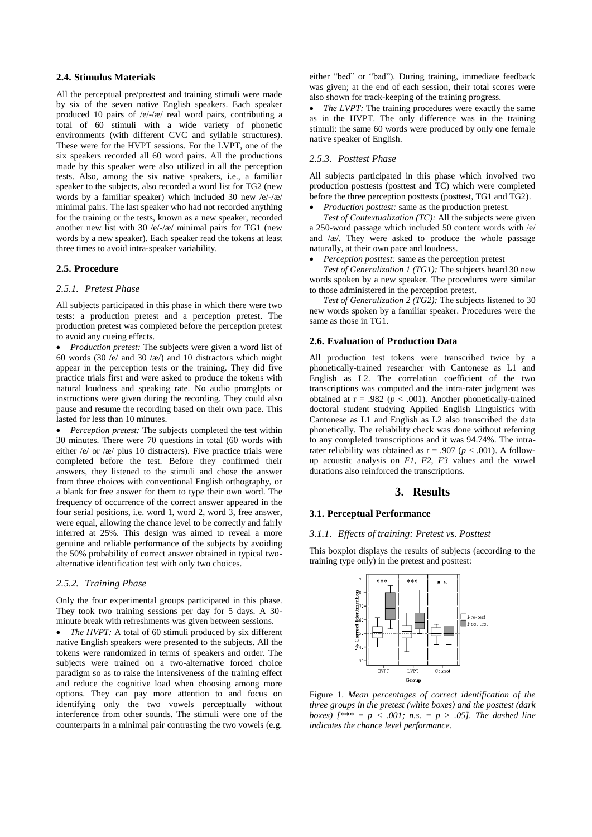#### **2.4. Stimulus Materials**

All the perceptual pre/posttest and training stimuli were made by six of the seven native English speakers. Each speaker produced 10 pairs of  $/e/-/æ$  real word pairs, contributing a total of 60 stimuli with a wide variety of phonetic environments (with different CVC and syllable structures). These were for the HVPT sessions. For the LVPT, one of the six speakers recorded all 60 word pairs. All the productions made by this speaker were also utilized in all the perception tests. Also, among the six native speakers, i.e., a familiar speaker to the subjects, also recorded a word list for TG2 (new words by a familiar speaker) which included 30 new /e/-/æ / minimal pairs. The last speaker who had not recorded anything for the training or the tests, known as a new speaker, recorded another new list with 30 /e/-/ $\alpha$ / minimal pairs for TG1 (new words by a new speaker). Each speaker read the tokens at least three times to avoid intra-speaker variability.

### **2.5. Procedure**

# *2.5.1. Pretest Phase*

All subjects participated in this phase in which there were two tests: a production pretest and a perception pretest. The production pretest was completed before the perception pretest to avoid any cueing effects.

 *Production pretest:* The subjects were given a word list of 60 words (30 /e/ and 30 / $\alpha$  /) and 10 distractors which might appear in the perception tests or the training. They did five practice trials first and were asked to produce the tokens with natural loudness and speaking rate. No audio promglpts or instructions were given during the recording. They could also pause and resume the recording based on their own pace. This lasted for less than 10 minutes.

 *Perception pretest:* The subjects completed the test within 30 minutes. There were 70 questions in total (60 words with either /e/ or / $x$  / plus 10 distracters). Five practice trials were completed before the test. Before they confirmed their answers, they listened to the stimuli and chose the answer from three choices with conventional English orthography, or a blank for free answer for them to type their own word. The frequency of occurrence of the correct answer appeared in the four serial positions, i.e. word 1, word 2, word 3, free answer, were equal, allowing the chance level to be correctly and fairly inferred at 25%. This design was aimed to reveal a more genuine and reliable performance of the subjects by avoiding the 50% probability of correct answer obtained in typical twoalternative identification test with only two choices.

#### *2.5.2. Training Phase*

Only the four experimental groups participated in this phase. They took two training sessions per day for 5 days. A 30 minute break with refreshments was given between sessions.

 *The HVPT:* A total of 60 stimuli produced by six different native English speakers were presented to the subjects. All the tokens were randomized in terms of speakers and order. The subjects were trained on a two-alternative forced choice paradigm so as to raise the intensiveness of the training effect and reduce the cognitive load when choosing among more options. They can pay more attention to and focus on identifying only the two vowels perceptually without interference from other sounds. The stimuli were one of the counterparts in a minimal pair contrasting the two vowels (e.g. either "bed" or "bad"). During training, immediate feedback was given; at the end of each session, their total scores were also shown for track-keeping of the training progress.

• *The LVPT:* The training procedures were exactly the same as in the HVPT. The only difference was in the training stimuli: the same 60 words were produced by only one female native speaker of English.

### *2.5.3. Posttest Phase*

All subjects participated in this phase which involved two production posttests (posttest and TC) which were completed before the three perception posttests (posttest, TG1 and TG2).

*Production posttest:* same as the production pretest.

*Test of Contextualization (TC):* All the subjects were given a 250-word passage which included 50 content words with /e/ and  $/x$ . They were asked to produce the whole passage naturally, at their own pace and loudness.

*Perception posttest:* same as the perception pretest

*Test of Generalization 1 (TG1):* The subjects heard 30 new words spoken by a new speaker. The procedures were similar to those administered in the perception pretest.

*Test of Generalization 2 (TG2):* The subjects listened to 30 new words spoken by a familiar speaker. Procedures were the same as those in TG1.

#### **2.6. Evaluation of Production Data**

All production test tokens were transcribed twice by a phonetically-trained researcher with Cantonese as L1 and English as L2. The correlation coefficient of the two transcriptions was computed and the intra-rater judgment was obtained at  $r = .982$  ( $p < .001$ ). Another phonetically-trained doctoral student studying Applied English Linguistics with Cantonese as L1 and English as L2 also transcribed the data phonetically. The reliability check was done without referring to any completed transcriptions and it was 94.74%. The intrarater reliability was obtained as  $r = .907$  ( $p < .001$ ). A followup acoustic analysis on *F1*, *F2*, *F3* values and the vowel durations also reinforced the transcriptions.

#### **3. Results**

#### **3.1. Perceptual Performance**

#### *3.1.1. Effects of training: Pretest vs. Posttest*

This boxplot displays the results of subjects (according to the training type only) in the pretest and posttest:



Figure 1. *Mean percentages of correct identification of the three groups in the pretest (white boxes) and the posttest (dark boxes) [\*\*\* = p < .001; n.s. = p > .05]. The dashed line indicates the chance level performance.*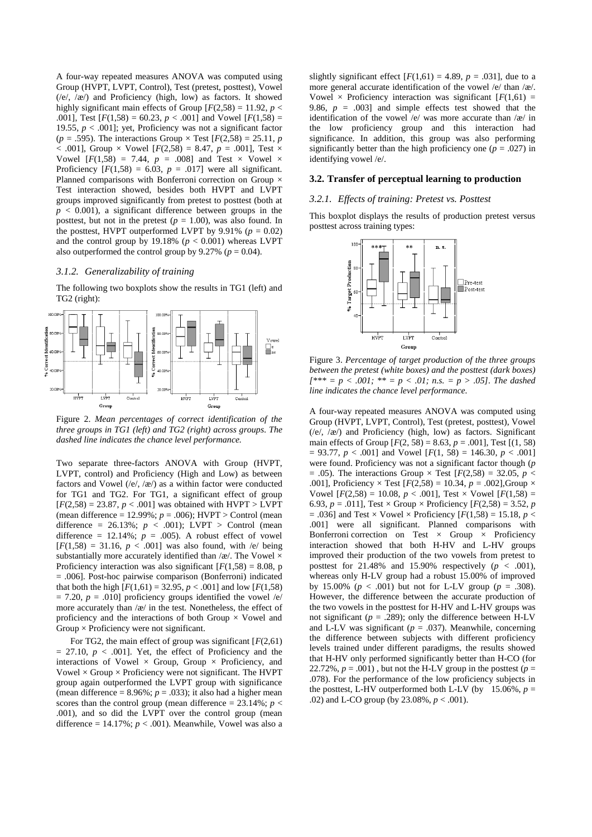A four-way repeated measures ANOVA was computed using Group (HVPT, LVPT, Control), Test (pretest, posttest), Vowel  $(\sqrt{e}, \sqrt{\alpha})$  and Proficiency (high, low) as factors. It showed highly significant main effects of Group  $[F(2,58) = 11.92, p <$ .001], Test  $[F(1,58) = 60.23, p < .001]$  and Vowel  $[F(1,58) =$ 19.55,  $p < .001$ ; yet, Proficiency was not a significant factor  $(p = .595)$ . The interactions Group  $\times$  Test  $[F(2,58) = 25.11, p$ < .001], Group × Vowel [*F*(2,58) = 8.47, *p* = .001], Test × Vowel  $[F(1,58) = 7.44, p = .008]$  and Test × Vowel × Proficiency  $[F(1,58) = 6.03, p = .017]$  were all significant. Planned comparisons with Bonferroni correction on Group  $\times$ Test interaction showed, besides both HVPT and LVPT groups improved significantly from pretest to posttest (both at  $p < 0.001$ ), a significant difference between groups in the posttest, but not in the pretest ( $p = 1.00$ ), was also found. In the posttest, HVPT outperformed LVPT by  $9.91\%$  ( $p = 0.02$ ) and the control group by 19.18% ( $p < 0.001$ ) whereas LVPT also outperformed the control group by  $9.27\%$  ( $p = 0.04$ ).

#### *3.1.2. Generalizability of training*

The following two boxplots show the results in TG1 (left) and TG2 (right):



Figure 2. *Mean percentages of correct identification of the three groups in TG1 (left) and TG2 (right) across groups. The dashed line indicates the chance level performance.*

Two separate three-factors ANOVA with Group (HVPT, LVPT, control) and Proficiency (High and Low) as between factors and Vowel (/e/, /æ /) as a within factor were conducted for TG1 and TG2. For TG1, a significant effect of group  $[F(2,58) = 23.87, p < .001]$  was obtained with HVPT > LVPT (mean difference = 12.99%; *p* = .006); HVPT > Control (mean difference = 26.13%; *p* < .001); LVPT > Control (mean difference =  $12.14\%$ ;  $p = .005$ ). A robust effect of vowel  $[F(1,58) = 31.16, p < .001]$  was also found, with /e/ being substantially more accurately identified than  $/x/$ . The Vowel  $\times$ Proficiency interaction was also significant  $[F(1,58) = 8.08, p$ = .006]. Post-hoc pairwise comparison (Bonferroni) indicated that both the high  $[F(1,61) = 32.95, p < .001]$  and low  $[F(1,58)$  $= 7.20, p = .010$ ] proficiency groups identified the vowel /e/ more accurately than  $\frac{1}{x}$  in the test. Nonetheless, the effect of proficiency and the interactions of both Group  $\times$  Vowel and Group  $\times$  Proficiency were not significant.

For TG2, the main effect of group was significant [*F*(2,61)  $= 27.10, p < .001$ . Yet, the effect of Proficiency and the interactions of Vowel  $\times$  Group, Group  $\times$  Proficiency, and Vowel  $\times$  Group  $\times$  Proficiency were not significant. The HVPT group again outperformed the LVPT group with significance (mean difference =  $8.96\%$ ;  $p = .033$ ); it also had a higher mean scores than the control group (mean difference  $= 23.14\%$ ; *p*  $<$ .001), and so did the LVPT over the control group (mean difference =  $14.17\%$ ;  $p < .001$ ). Meanwhile, Vowel was also a slightly significant effect  $[F(1,61) = 4.89, p = .031]$ , due to a more general accurate identification of the vowel /e/ than /æ /. Vowel  $\times$  Proficiency interaction was significant  $[F(1,61) =$ 9.86,  $p = .003$  and simple effects test showed that the identification of the vowel /e/ was more accurate than /æ / in the low proficiency group and this interaction had significance. In addition, this group was also performing significantly better than the high proficiency one (*p* = .027) in identifying vowel /e/.

# **3.2. Transfer of perceptual learning to production**

#### *3.2.1. Effects of training: Pretest vs. Posttest*

This boxplot displays the results of production pretest versus posttest across training types:



Figure 3. *Percentage of target production of the three groups between the pretest (white boxes) and the posttest (dark boxes)*   $[$ <sup>\*\*\*</sup> =  $p < .001$ ; \*\* =  $p < .01$ ; n.s. =  $p > .05$ ]. The dashed *line indicates the chance level performance.*

A four-way repeated measures ANOVA was computed using Group (HVPT, LVPT, Control), Test (pretest, posttest), Vowel  $(\sqrt{e}, \sqrt{\alpha})$  and Proficiency (high, low) as factors. Significant main effects of Group  $[F(2, 58) = 8.63, p = .001]$ , Test  $[(1, 58)$  $= 93.77, p < .001$  and Vowel  $[F(1, 58) = 146.30, p < .001]$ were found. Proficiency was not a significant factor though (*p* = .05). The interactions Group  $\times$  Test [ $F(2,58) = 32.05$ ,  $p <$ .001], Proficiency × Test [*F*(2,58) = 10.34, *p* = .002],Group × Vowel  $[F(2,58) = 10.08, p < .001]$ , Test × Vowel  $[F(1,58) =$ 6.93,  $p = .011$ ], Test  $\times$  Group  $\times$  Proficiency  $[F(2,58) = 3.52, p$ = .036] and Test × Vowel × Proficiency [*F*(1,58) = 15.18, *p* < .001] were all significant. Planned comparisons with Bonferroni correction on Test  $\times$  Group  $\times$  Proficiency interaction showed that both H-HV and L-HV groups improved their production of the two vowels from pretest to posttest for 21.48% and 15.90% respectively  $(p < .001)$ , whereas only H-LV group had a robust 15.00% of improved by 15.00% ( $p < .001$ ) but not for L-LV group ( $p = .308$ ). However, the difference between the accurate production of the two vowels in the posttest for H-HV and L-HV groups was not significant ( $p = .289$ ); only the difference between H-LV and L-LV was significant ( $p = .037$ ). Meanwhile, concerning the difference between subjects with different proficiency levels trained under different paradigms, the results showed that H-HV only performed significantly better than H-CO (for 22.72%,  $p = .001$ ), but not the H-LV group in the posttest ( $p =$ .078). For the performance of the low proficiency subjects in the posttest, L-HV outperformed both L-LV (by  $15.06\%$ ,  $p =$ .02) and L-CO group (by 23.08%, *p* < .001).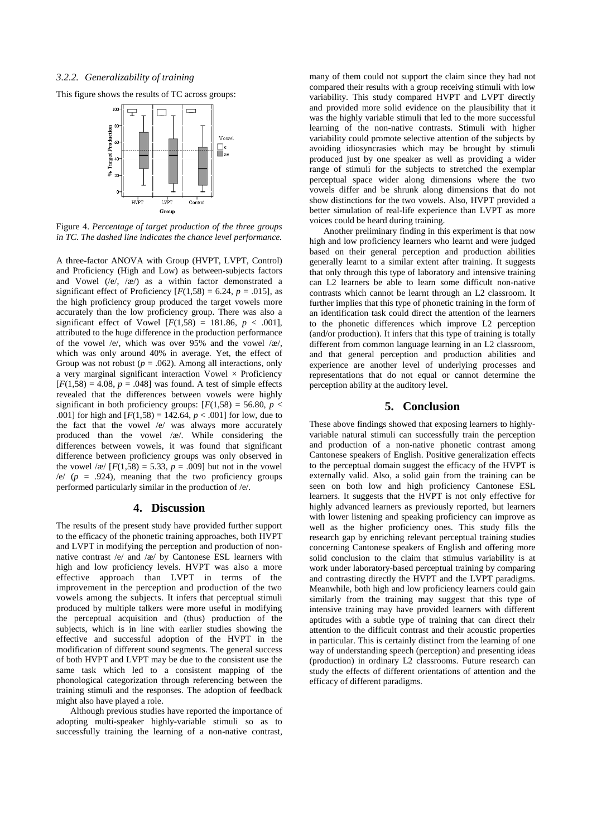#### *3.2.2. Generalizability of training*

This figure shows the results of TC across groups:



Figure 4. *Percentage of target production of the three groups in TC. The dashed line indicates the chance level performance.*

A three-factor ANOVA with Group (HVPT, LVPT, Control) and Proficiency (High and Low) as between-subjects factors and Vowel  $(\sqrt{e}, \sqrt{x})$  as a within factor demonstrated a significant effect of Proficiency  $[F(1,58) = 6.24, p = .015]$ , as the high proficiency group produced the target vowels more accurately than the low proficiency group. There was also a significant effect of Vowel  $[F(1,58) = 181.86, p < .001]$ , attributed to the huge difference in the production performance of the vowel /e/, which was over  $95\%$  and the vowel /æ/, which was only around 40% in average. Yet, the effect of Group was not robust  $(p = .062)$ . Among all interactions, only a very marginal significant interaction Vowel  $\times$  Proficiency  $[F(1,58) = 4.08, p = .048]$  was found. A test of simple effects revealed that the differences between vowels were highly significant in both proficiency groups:  $[F(1,58) = 56.80, p <$ .001] for high and  $[F(1,58) = 142.64, p < .001]$  for low, due to the fact that the vowel /e/ was always more accurately produced than the vowel  $/x/$ . While considering the differences between vowels, it was found that significant difference between proficiency groups was only observed in the vowel / $x / [F(1,58) = 5.33, p = .009]$  but not in the vowel  $/e$  ( $p = .924$ ), meaning that the two proficiency groups performed particularly similar in the production of /e/.

## **4. Discussion**

The results of the present study have provided further support to the efficacy of the phonetic training approaches, both HVPT and LVPT in modifying the perception and production of nonnative contrast /e/ and /æ / by Cantonese ESL learners with high and low proficiency levels. HVPT was also a more effective approach than LVPT in terms of the improvement in the perception and production of the two vowels among the subjects. It infers that perceptual stimuli produced by multiple talkers were more useful in modifying the perceptual acquisition and (thus) production of the subjects, which is in line with earlier studies showing the effective and successful adoption of the HVPT in the modification of different sound segments. The general success of both HVPT and LVPT may be due to the consistent use the same task which led to a consistent mapping of the phonological categorization through referencing between the training stimuli and the responses. The adoption of feedback might also have played a role.

Although previous studies have reported the importance of adopting multi-speaker highly-variable stimuli so as to successfully training the learning of a non-native contrast, many of them could not support the claim since they had not compared their results with a group receiving stimuli with low variability. This study compared HVPT and LVPT directly and provided more solid evidence on the plausibility that it was the highly variable stimuli that led to the more successful learning of the non-native contrasts. Stimuli with higher variability could promote selective attention of the subjects by avoiding idiosyncrasies which may be brought by stimuli produced just by one speaker as well as providing a wider range of stimuli for the subjects to stretched the exemplar perceptual space wider along dimensions where the two vowels differ and be shrunk along dimensions that do not show distinctions for the two vowels. Also, HVPT provided a better simulation of real-life experience than LVPT as more voices could be heard during training.

Another preliminary finding in this experiment is that now high and low proficiency learners who learnt and were judged based on their general perception and production abilities generally learnt to a similar extent after training. It suggests that only through this type of laboratory and intensive training can L2 learners be able to learn some difficult non-native contrasts which cannot be learnt through an L2 classroom. It further implies that this type of phonetic training in the form of an identification task could direct the attention of the learners to the phonetic differences which improve L2 perception (and/or production). It infers that this type of training is totally different from common language learning in an L2 classroom, and that general perception and production abilities and experience are another level of underlying processes and representations that do not equal or cannot determine the perception ability at the auditory level.

# **5. Conclusion**

These above findings showed that exposing learners to highlyvariable natural stimuli can successfully train the perception and production of a non-native phonetic contrast among Cantonese speakers of English. Positive generalization effects to the perceptual domain suggest the efficacy of the HVPT is externally valid. Also, a solid gain from the training can be seen on both low and high proficiency Cantonese ESL learners. It suggests that the HVPT is not only effective for highly advanced learners as previously reported, but learners with lower listening and speaking proficiency can improve as well as the higher proficiency ones. This study fills the research gap by enriching relevant perceptual training studies concerning Cantonese speakers of English and offering more solid conclusion to the claim that stimulus variability is at work under laboratory-based perceptual training by comparing and contrasting directly the HVPT and the LVPT paradigms. Meanwhile, both high and low proficiency learners could gain similarly from the training may suggest that this type of intensive training may have provided learners with different aptitudes with a subtle type of training that can direct their attention to the difficult contrast and their acoustic properties in particular. This is certainly distinct from the learning of one way of understanding speech (perception) and presenting ideas (production) in ordinary L2 classrooms. Future research can study the effects of different orientations of attention and the efficacy of different paradigms.